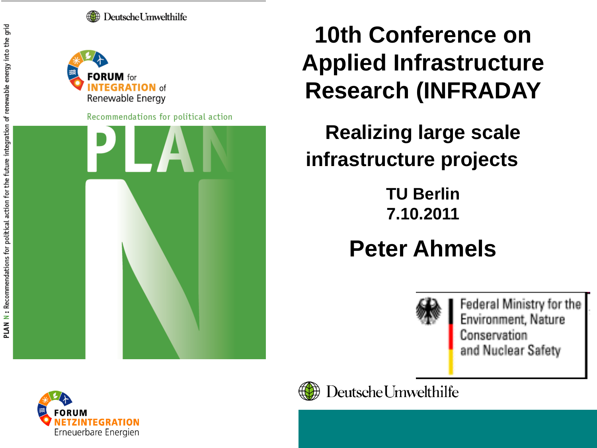Deutsche Umwelthilfe



Recommendations for political action



### **10th Conference on Applied Infrastructure Research (INFRADAY**

**Realizing large scale infrastructure projects**

> **TU Berlin 7.10.2011**

### **Peter Ahmels**



Federal Ministry for the Environment, Nature Conservation and Nuclear Safety



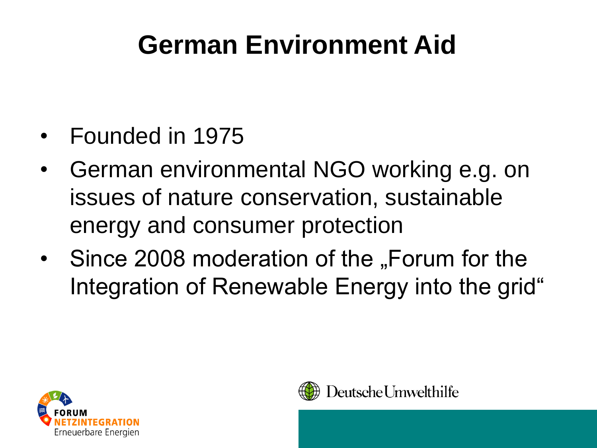## **German Environment Aid**

- Founded in 1975
- German environmental NGO working e.g. on issues of nature conservation, sustainable energy and consumer protection
- Since 2008 moderation of the "Forum for the Integration of Renewable Energy into the grid"



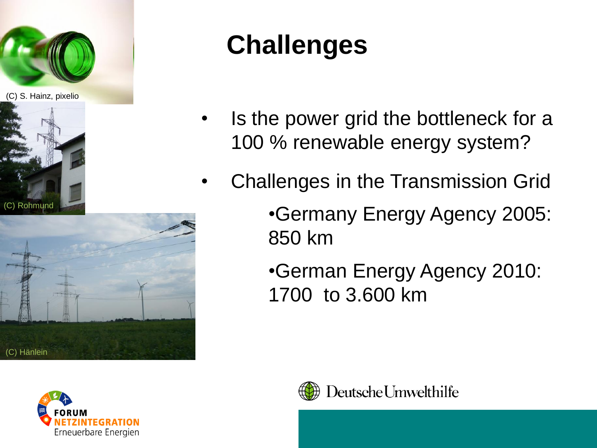

(C) S. Hainz, pixelio





# **Challenges**

- Is the power grid the bottleneck for a 100 % renewable energy system?
- Challenges in the Transmission Grid
	- •Germany Energy Agency 2005: 850 km
	- •German Energy Agency 2010: 1700 to 3.600 km



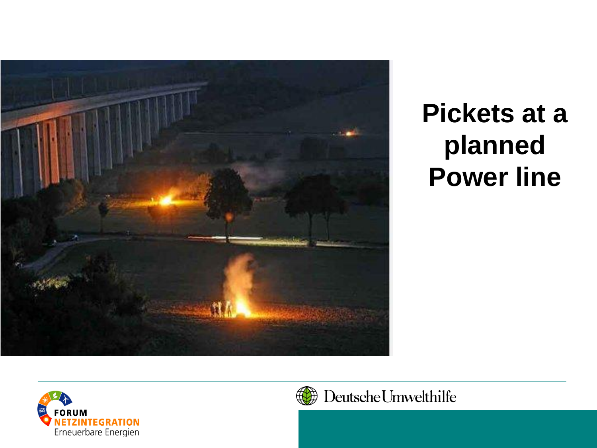

## **Pickets at a planned Power line**





#### Deutsche Umwelthilfe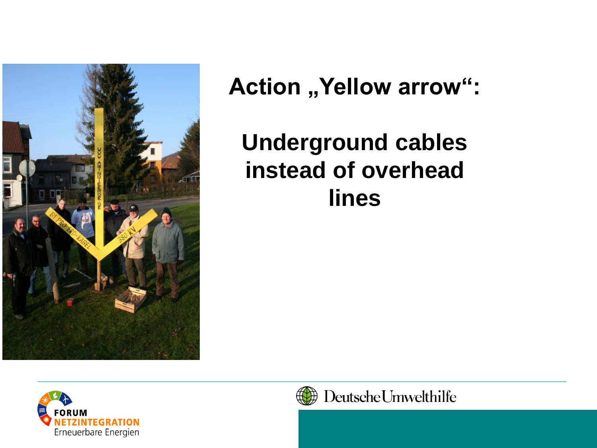

**Action ,, Yellow arrow":** 

**Underground cables instead of overhead lines**



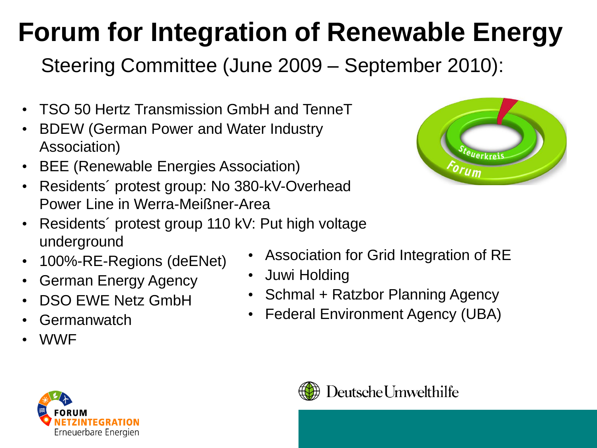# **Forum for Integration of Renewable Energy**

Steering Committee (June 2009 – September 2010):

- TSO 50 Hertz Transmission GmbH and TenneT
- BDEW (German Power and Water Industry Association)
- BEE (Renewable Energies Association)
- Residents´ protest group: No 380-kV-Overhead Power Line in Werra-Meißner-Area



- Residents' protest group 110 kV: Put high voltage underground
- 100%-RE-Regions (deENet)
- German Energy Agency
- DSO EWE Netz GmbH
- Germanwatch
- WWF
- Association for Grid Integration of RE
- Juwi Holding
- Schmal + Ratzbor Planning Agency
- Federal Environment Agency (UBA)



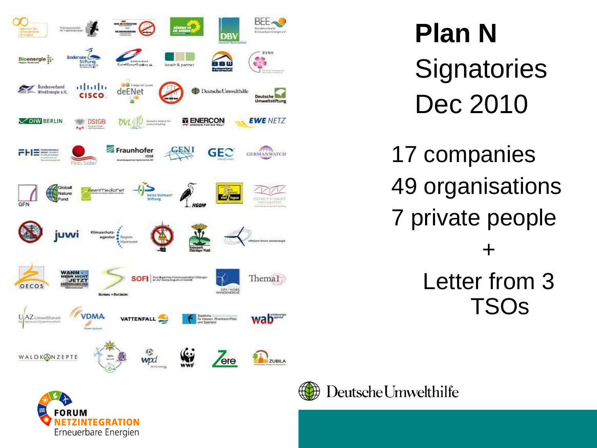

# **Plan N Signatories** Dec 2010

17 companies 49 organisations 7 private people + Letter from 3 TSOs





#### Deutsche Umwelthilfe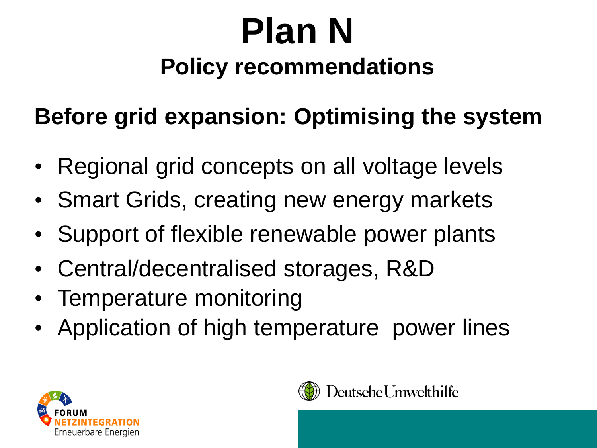## **Before grid expansion: Optimising the system**

- Regional grid concepts on all voltage levels
- Smart Grids, creating new energy markets
- Support of flexible renewable power plants
- Central/decentralised storages, R&D
- Temperature monitoring
- Application of high temperature power lines



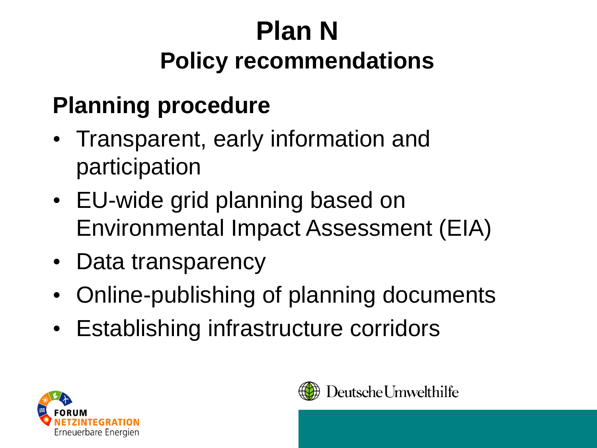### **Planning procedure**

- Transparent, early information and participation
- EU-wide grid planning based on Environmental Impact Assessment (EIA)
- Data transparency
- Online-publishing of planning documents
- Establishing infrastructure corridors



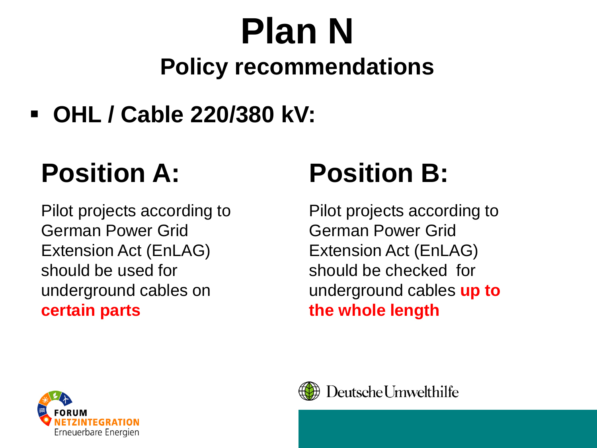**OHL / Cable 220/380 kV:**

# **Position A:**

Pilot projects according to German Power Grid Extension Act (EnLAG) should be used for underground cables on **certain parts**

# **Position B:**

Pilot projects according to German Power Grid Extension Act (EnLAG) should be checked for underground cables **up to the whole length** 



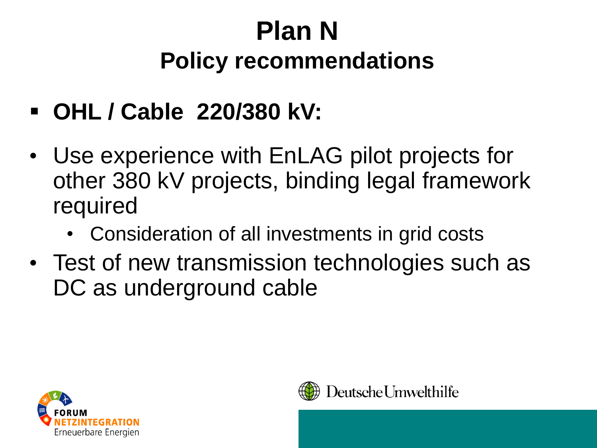- **OHL / Cable 220/380 kV:**
- Use experience with EnLAG pilot projects for other 380 kV projects, binding legal framework required
	- Consideration of all investments in grid costs
- Test of new transmission technologies such as DC as underground cable



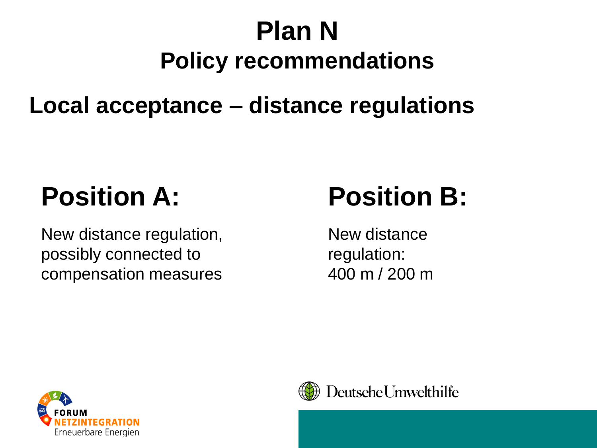#### **Local acceptance – distance regulations**

# **Position A:**

New distance regulation, possibly connected to compensation measures

## **Position B:**

New distance regulation: 400 m / 200 m



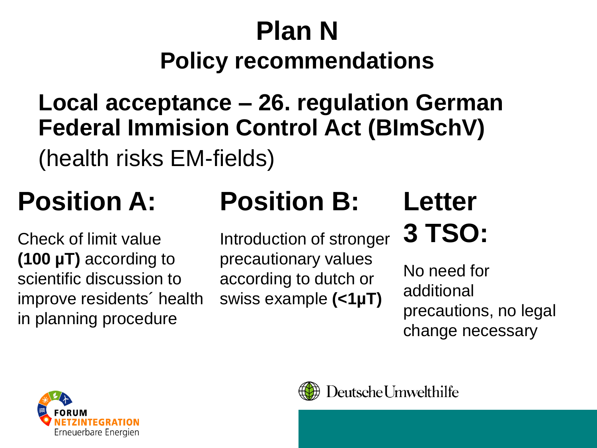#### **Local acceptance – 26. regulation German Federal Immision Control Act (BImSchV)**

(health risks EM-fields)

## **Position A:**

Check of limit value **(100 µT)** according to scientific discussion to improve residents´ health in planning procedure

# **Position B:**

Introduction of stronger precautionary values according to dutch or swiss example **(<1µT)**

## **Letter 3 TSO:**

No need for additional precautions, no legal change necessary





#### Deutsche Umwelthilfe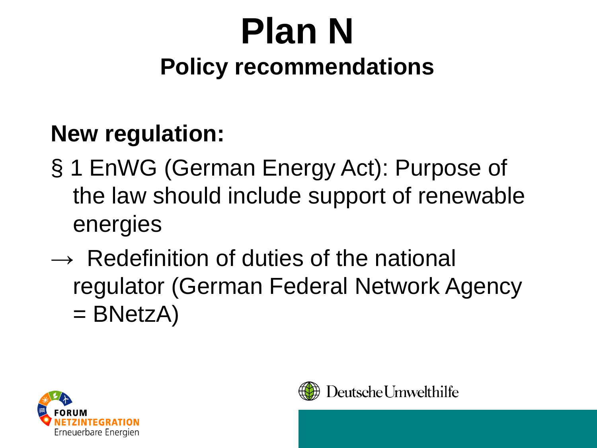#### **New regulation:**

- § 1 EnWG (German Energy Act): Purpose of the law should include support of renewable energies
- **→** Redefinition of duties of the national regulator (German Federal Network Agency  $=$  BNetzA)



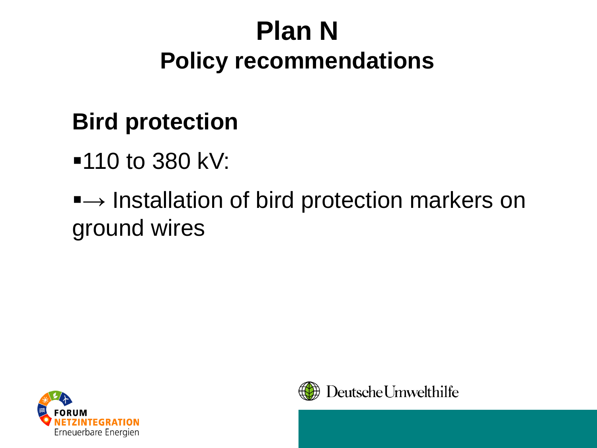#### **Bird protection**

■110 to 380 kV:

#### ■ → Installation of bird protection markers on ground wires



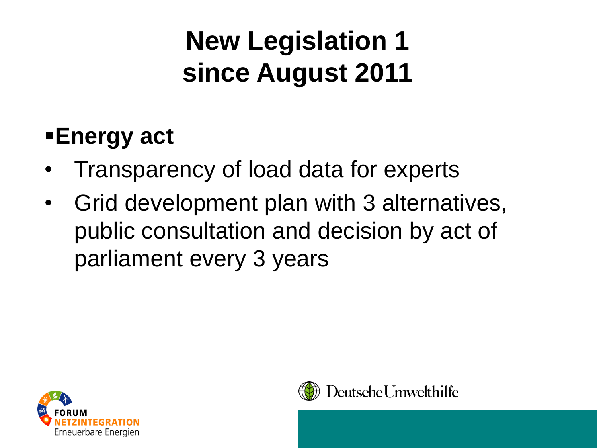# **New Legislation 1 since August 2011**

#### **Energy act**

- Transparency of load data for experts
- Grid development plan with 3 alternatives, public consultation and decision by act of parliament every 3 years



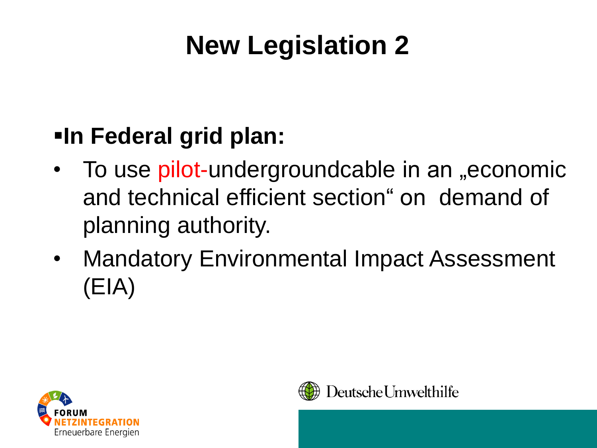# **New Legislation 2**

### **In Federal grid plan:**

- To use pilot-undergroundcable in an "economic and technical efficient section" on demand of planning authority.
- Mandatory Environmental Impact Assessment (EIA)



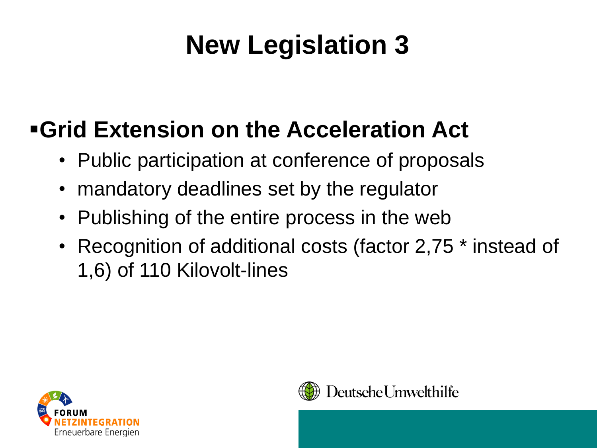# **New Legislation 3**

### **Grid Extension on the Acceleration Act**

- Public participation at conference of proposals
- mandatory deadlines set by the regulator
- Publishing of the entire process in the web
- Recognition of additional costs (factor 2,75 \* instead of 1,6) of 110 Kilovolt-lines